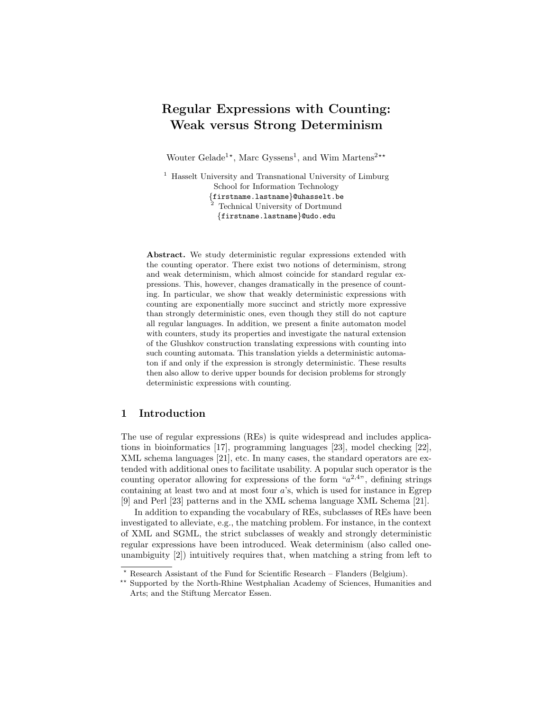# Regular Expressions with Counting: Weak versus Strong Determinism

Wouter Gelade<sup>1\*</sup>, Marc Gyssens<sup>1</sup>, and Wim Martens<sup>2\*\*</sup>

<sup>1</sup> Hasselt University and Transnational University of Limburg School for Information Technology {firstname.lastname}@uhasselt.be <sup>2</sup> Technical University of Dortmund {firstname.lastname}@udo.edu

Abstract. We study deterministic regular expressions extended with the counting operator. There exist two notions of determinism, strong and weak determinism, which almost coincide for standard regular expressions. This, however, changes dramatically in the presence of counting. In particular, we show that weakly deterministic expressions with counting are exponentially more succinct and strictly more expressive than strongly deterministic ones, even though they still do not capture all regular languages. In addition, we present a finite automaton model with counters, study its properties and investigate the natural extension of the Glushkov construction translating expressions with counting into such counting automata. This translation yields a deterministic automaton if and only if the expression is strongly deterministic. These results then also allow to derive upper bounds for decision problems for strongly deterministic expressions with counting.

## 1 Introduction

The use of regular expressions (REs) is quite widespread and includes applications in bioinformatics [17], programming languages [23], model checking [22], XML schema languages [21], etc. In many cases, the standard operators are extended with additional ones to facilitate usability. A popular such operator is the counting operator allowing for expressions of the form " $a^{2,4}$ ", defining strings containing at least two and at most four a's, which is used for instance in Egrep [9] and Perl [23] patterns and in the XML schema language XML Schema [21].

In addition to expanding the vocabulary of REs, subclasses of REs have been investigated to alleviate, e.g., the matching problem. For instance, in the context of XML and SGML, the strict subclasses of weakly and strongly deterministic regular expressions have been introduced. Weak determinism (also called oneunambiguity [2]) intuitively requires that, when matching a string from left to

<sup>!</sup> Research Assistant of the Fund for Scientific Research – Flanders (Belgium).

<sup>\*\*</sup> Supported by the North-Rhine Westphalian Academy of Sciences, Humanities and Arts; and the Stiftung Mercator Essen.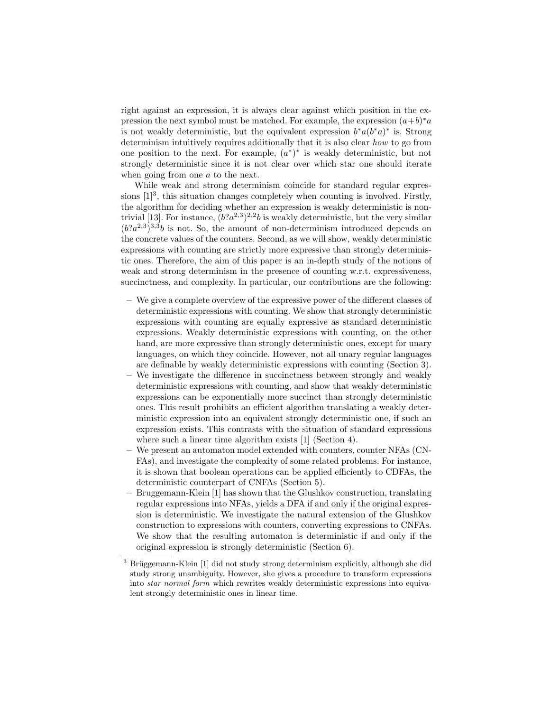right against an expression, it is always clear against which position in the expression the next symbol must be matched. For example, the expression  $(a+b)*a$ is not weakly deterministic, but the equivalent expression  $b^*a(b^*a)^*$  is. Strong determinism intuitively requires additionally that it is also clear how to go from one position to the next. For example,  $(a^*)^*$  is weakly deterministic, but not strongly deterministic since it is not clear over which star one should iterate when going from one a to the next.

While weak and strong determinism coincide for standard regular expressions  $[1]^3$ , this situation changes completely when counting is involved. Firstly, the algorithm for deciding whether an expression is weakly deterministic is nontrivial [13]. For instance,  $(b?a^{2,3})^{2,2}b$  is weakly deterministic, but the very similar  $(b^2a^{2,3})^{3,3}b$  is not. So, the amount of non-determinism introduced depends on the concrete values of the counters. Second, as we will show, weakly deterministic expressions with counting are strictly more expressive than strongly deterministic ones. Therefore, the aim of this paper is an in-depth study of the notions of weak and strong determinism in the presence of counting w.r.t. expressiveness, succinctness, and complexity. In particular, our contributions are the following:

- We give a complete overview of the expressive power of the different classes of deterministic expressions with counting. We show that strongly deterministic expressions with counting are equally expressive as standard deterministic expressions. Weakly deterministic expressions with counting, on the other hand, are more expressive than strongly deterministic ones, except for unary languages, on which they coincide. However, not all unary regular languages are definable by weakly deterministic expressions with counting (Section 3).
- We investigate the difference in succinctness between strongly and weakly deterministic expressions with counting, and show that weakly deterministic expressions can be exponentially more succinct than strongly deterministic ones. This result prohibits an efficient algorithm translating a weakly deterministic expression into an equivalent strongly deterministic one, if such an expression exists. This contrasts with the situation of standard expressions where such a linear time algorithm exists [1] (Section 4).
- We present an automaton model extended with counters, counter NFAs (CN-FAs), and investigate the complexity of some related problems. For instance, it is shown that boolean operations can be applied efficiently to CDFAs, the deterministic counterpart of CNFAs (Section 5).
- Bruggemann-Klein [1] has shown that the Glushkov construction, translating regular expressions into NFAs, yields a DFA if and only if the original expression is deterministic. We investigate the natural extension of the Glushkov construction to expressions with counters, converting expressions to CNFAs. We show that the resulting automaton is deterministic if and only if the original expression is strongly deterministic (Section 6).

 $3$  Brüggemann-Klein [1] did not study strong determinism explicitly, although she did study strong unambiguity. However, she gives a procedure to transform expressions into *star normal form* which rewrites weakly deterministic expressions into equivalent strongly deterministic ones in linear time.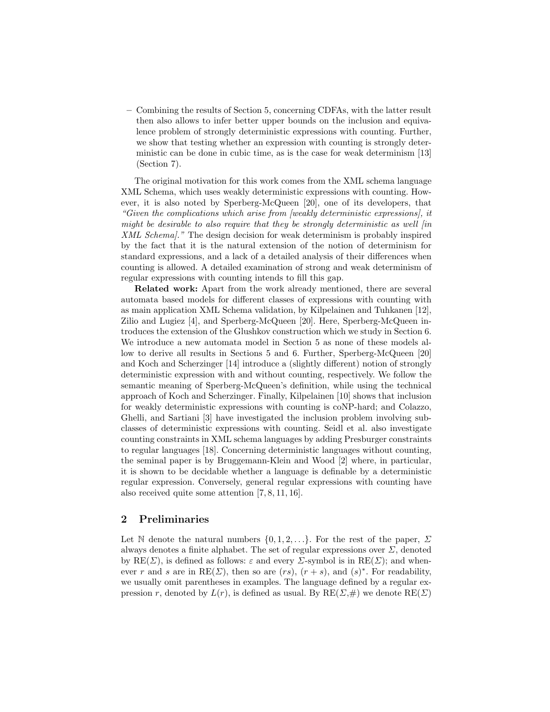– Combining the results of Section 5, concerning CDFAs, with the latter result then also allows to infer better upper bounds on the inclusion and equivalence problem of strongly deterministic expressions with counting. Further, we show that testing whether an expression with counting is strongly deterministic can be done in cubic time, as is the case for weak determinism [13] (Section 7).

The original motivation for this work comes from the XML schema language XML Schema, which uses weakly deterministic expressions with counting. However, it is also noted by Sperberg-McQueen [20], one of its developers, that "Given the complications which arise from [weakly deterministic expressions], it might be desirable to also require that they be strongly deterministic as well [in XML Schema]." The design decision for weak determinism is probably inspired by the fact that it is the natural extension of the notion of determinism for standard expressions, and a lack of a detailed analysis of their differences when counting is allowed. A detailed examination of strong and weak determinism of regular expressions with counting intends to fill this gap.

Related work: Apart from the work already mentioned, there are several automata based models for different classes of expressions with counting with as main application XML Schema validation, by Kilpelainen and Tuhkanen [12], Zilio and Lugiez [4], and Sperberg-McQueen [20]. Here, Sperberg-McQueen introduces the extension of the Glushkov construction which we study in Section 6. We introduce a new automata model in Section 5 as none of these models allow to derive all results in Sections 5 and 6. Further, Sperberg-McQueen [20] and Koch and Scherzinger [14] introduce a (slightly different) notion of strongly deterministic expression with and without counting, respectively. We follow the semantic meaning of Sperberg-McQueen's definition, while using the technical approach of Koch and Scherzinger. Finally, Kilpelainen [10] shows that inclusion for weakly deterministic expressions with counting is coNP-hard; and Colazzo, Ghelli, and Sartiani [3] have investigated the inclusion problem involving subclasses of deterministic expressions with counting. Seidl et al. also investigate counting constraints in XML schema languages by adding Presburger constraints to regular languages [18]. Concerning deterministic languages without counting, the seminal paper is by Bruggemann-Klein and Wood [2] where, in particular, it is shown to be decidable whether a language is definable by a deterministic regular expression. Conversely, general regular expressions with counting have also received quite some attention [7, 8, 11, 16].

## 2 Preliminaries

Let N denote the natural numbers  $\{0, 1, 2, \ldots\}$ . For the rest of the paper,  $\Sigma$ always denotes a finite alphabet. The set of regular expressions over  $\Sigma$ , denoted by  $RE(\Sigma)$ , is defined as follows:  $\varepsilon$  and every  $\Sigma$ -symbol is in  $RE(\Sigma)$ ; and whenever r and s are in  $RE(\Sigma)$ , then so are  $(rs)$ ,  $(r + s)$ , and  $(s)^*$ . For readability, we usually omit parentheses in examples. The language defined by a regular expression r, denoted by  $L(r)$ , is defined as usual. By  $RE(\Sigma, \#)$  we denote  $RE(\Sigma)$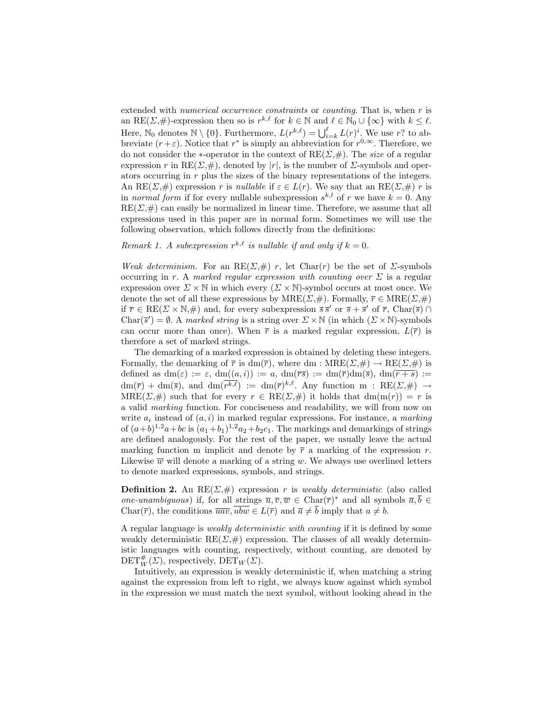extended with *numerical occurrence constraints* or *counting*. That is, when r is an RE( $\Sigma$ ,#)-expression then so is  $r^{k,\ell}$  for  $k \in \mathbb{N}$  and  $\ell \in \mathbb{N}_0 \cup \{\infty\}$  with  $k \leq \ell$ . Here,  $\mathbb{N}_0$  denotes  $\mathbb{N} \setminus \{0\}$ . Furthermore,  $L(r^{k,\ell}) = \bigcup_{i=k}^{\ell} L(r)^i$ . We use r? to abbreviate  $(r+\varepsilon)$ . Notice that  $r^*$  is simply an abbreviation for  $r^{0,\infty}$ . Therefore, we do not consider the ∗-operator in the context of  $RE(\Sigma, \#)$ . The *size* of a regular expression r in  $RE(\Sigma, \#)$ , denoted by |r|, is the number of  $\Sigma$ -symbols and operators occurring in r plus the sizes of the binary representations of the integers. An RE( $\Sigma$ ,#) expression r is *nullable* if  $\varepsilon \in L(r)$ . We say that an RE( $\Sigma$ ,#) r is in normal form if for every nullable subexpression  $s^{k,l}$  of r we have  $k = 0$ . Any  $RE(\Sigma, \#)$  can easily be normalized in linear time. Therefore, we assume that all expressions used in this paper are in normal form. Sometimes we will use the following observation, which follows directly from the definitions:

Remark 1. A subexpression  $r^{k,\ell}$  is nullable if and only if  $k = 0$ .

Weak determinism. For an RE( $\Sigma$ ,#) r, let Char(r) be the set of  $\Sigma$ -symbols occurring in r. A marked regular expression with counting over  $\Sigma$  is a regular expression over  $\Sigma \times \mathbb{N}$  in which every  $(\Sigma \times \mathbb{N})$ -symbol occurs at most once. We denote the set of all these expressions by  $MRE(\Sigma, \#)$ . Formally,  $\overline{r} \in MRE(\Sigma, \#)$ if  $\overline{r} \in \text{RE}(\Sigma \times \mathbb{N}, \#)$  and, for every subexpression  $\overline{s} \overline{s}'$  or  $\overline{s} + \overline{s}'$  of  $\overline{r}$ , Char( $\overline{s}$ )  $\cap$ Char( $\overline{s}'$ ) = Ø. A marked string is a string over  $\Sigma \times \mathbb{N}$  (in which  $(\Sigma \times \mathbb{N})$ -symbols can occur more than once). When  $\bar{r}$  is a marked regular expression,  $L(\bar{r})$  is therefore a set of marked strings.

The demarking of a marked expression is obtained by deleting these integers. Formally, the demarking of  $\bar{r}$  is dm( $\bar{r}$ ), where dm : MRE( $\Sigma$ , $\#$ )  $\rightarrow$  RE( $\Sigma$ , $\#$ ) is defined as  $dm(\varepsilon) := \varepsilon$ ,  $dm((a,i)) := a$ ,  $dm(\overline{rs}) := dm(\overline{r})dm(\overline{s})$ ,  $dm(\overline{r+s}) :=$  $dm(\bar{r}) + dm(\bar{s}),$  and  $dm(\bar{r}^{k,\ell}) := dm(\bar{r})^{k,\ell}$ . Any function m : RE( $\Sigma,\#$ )  $\rightarrow$  $MRE(\Sigma, \#)$  such that for every  $r \in RE(\Sigma, \#)$  it holds that  $dm(m(r)) = r$  is a valid marking function. For conciseness and readability, we will from now on write  $a_i$  instead of  $(a,i)$  in marked regular expressions. For instance, a marking of  $(a+b)^{1,2}a+bc$  is  $(a_1+b_1)^{1,2}a_2+b_2c_1$ . The markings and demarkings of strings are defined analogously. For the rest of the paper, we usually leave the actual marking function m implicit and denote by  $\bar{r}$  a marking of the expression r. Likewise  $\overline{w}$  will denote a marking of a string w. We always use overlined letters to denote marked expressions, symbols, and strings.

**Definition 2.** An RE( $\Sigma$ ,#) expression r is weakly deterministic (also called one-unambiguous) if, for all strings  $\overline{u}, \overline{v}, \overline{w} \in \text{Char}(\overline{r})^*$  and all symbols  $\overline{a}, \overline{b} \in$ Char( $\overline{r}$ ), the conditions  $\overline{u \overline{a} v}$ ,  $\overline{u \overline{b} w} \in L(\overline{r})$  and  $\overline{a} \neq \overline{b}$  imply that  $a \neq b$ .

A regular language is weakly deterministic with counting if it is defined by some weakly deterministic  $RE(\Sigma, \#)$  expression. The classes of all weakly deterministic languages with counting, respectively, without counting, are denoted by  $\text{DET}^{\#}_{W}(\Sigma)$ , respectively,  $\text{DET}_W(\Sigma)$ .

Intuitively, an expression is weakly deterministic if, when matching a string against the expression from left to right, we always know against which symbol in the expression we must match the next symbol, without looking ahead in the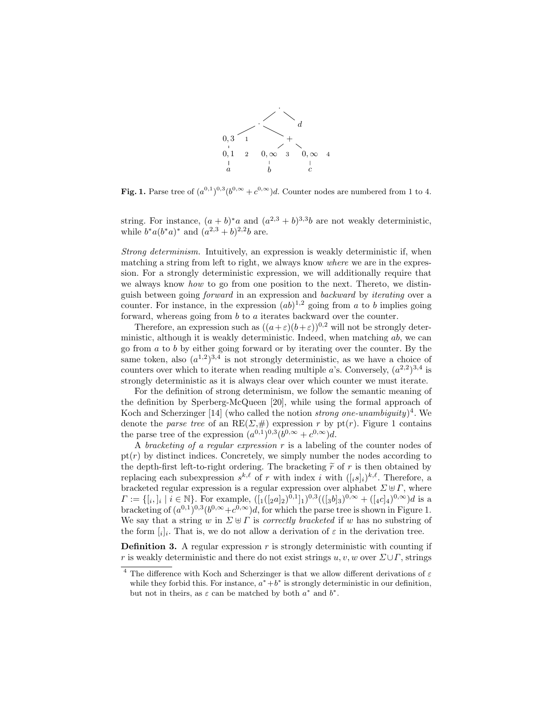

**Fig. 1.** Parse tree of  $(a^{0,1})^{0,3}(b^{0,\infty}+c^{0,\infty})d$ . Counter nodes are numbered from 1 to 4.

string. For instance,  $(a + b)^* a$  and  $(a^{2,3} + b)^{3,3} b$  are not weakly deterministic, while  $b^*a(b^*a)^*$  and  $(a^{2,3}+b)^{2,2}b$  are.

Strong determinism. Intuitively, an expression is weakly deterministic if, when matching a string from left to right, we always know where we are in the expression. For a strongly deterministic expression, we will additionally require that we always know *how* to go from one position to the next. Thereto, we distinguish between going forward in an expression and backward by iterating over a counter. For instance, in the expression  $(ab)^{1,2}$  going from a to b implies going forward, whereas going from b to a iterates backward over the counter.

Therefore, an expression such as  $((a+\varepsilon)(b+\varepsilon))^{0,2}$  will not be strongly deterministic, although it is weakly deterministic. Indeed, when matching  $ab$ , we can go from a to b by either going forward or by iterating over the counter. By the same token, also  $(a^{1,2})^{3,4}$  is not strongly deterministic, as we have a choice of counters over which to iterate when reading multiple a's. Conversely,  $(a^{2,2})^{3,4}$  is strongly deterministic as it is always clear over which counter we must iterate.

For the definition of strong determinism, we follow the semantic meaning of the definition by Sperberg-McQueen [20], while using the formal approach of Koch and Scherzinger [14] (who called the notion *strong one-unambiguity*)<sup>4</sup>. We denote the *parse tree* of an  $RE(\Sigma, \#)$  expression r by pt(r). Figure 1 contains the parse tree of the expression  $(a^{0,1})^{0,3}(b^{0,\infty}+c^{0,\infty})d$ .

A bracketing of a regular expression  $r$  is a labeling of the counter nodes of  $pt(r)$  by distinct indices. Concretely, we simply number the nodes according to the depth-first left-to-right ordering. The bracketing  $\tilde{r}$  of r is then obtained by replacing each subexpression  $s^{k,\ell}$  of r with index i with  $([i s]_i)^{k,\ell}$ . Therefore, a bracketed regular expression is a regular expression over alphabet  $\Sigma \uplus \Gamma$ , where  $\Gamma := \{ [i, j]_i \mid i \in \mathbb{N} \}$ . For example,  $([1([2a]_2)^{0,1}]_1)^{0,3}(([3b]_3)^{0,\infty} + ([4c]_4)^{0,\infty})d$  is a bracketing of  $(a^{0,1})^{0,3}(b^{0,\infty}+c^{0,\infty})d$ , for which the parse tree is shown in Figure 1. We say that a string w in  $\Sigma \oplus \Gamma$  is *correctly bracketed* if w has no substring of the form  $[i]_i$ . That is, we do not allow a derivation of  $\varepsilon$  in the derivation tree.

**Definition 3.** A regular expression  $r$  is strongly deterministic with counting if r is weakly deterministic and there do not exist strings u, v, w over  $\Sigma \cup \Gamma$ , strings

<sup>&</sup>lt;sup>4</sup> The difference with Koch and Scherzinger is that we allow different derivations of  $\varepsilon$ while they forbid this. For instance,  $a^*+b^*$  is strongly deterministic in our definition, but not in theirs, as  $\varepsilon$  can be matched by both  $a^*$  and  $b^*$ .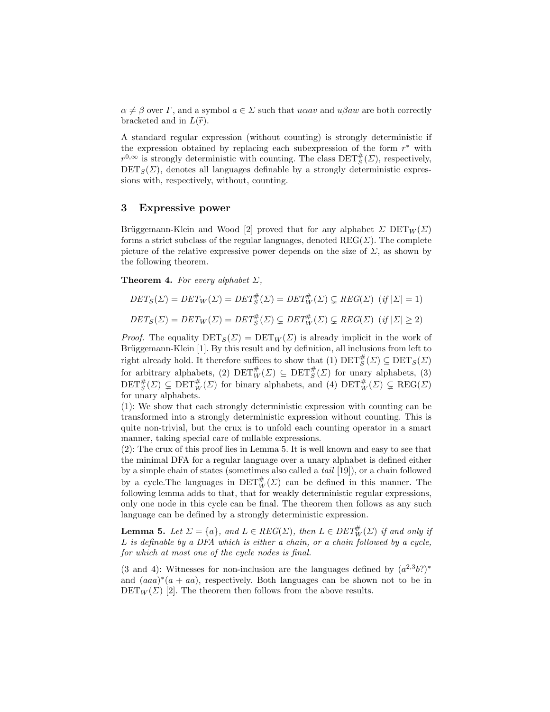$\alpha \neq \beta$  over *Γ*, and a symbol  $a \in \Sigma$  such that *uoav* and *uβaw* are both correctly bracketed and in  $L(\tilde{r})$ .

A standard regular expression (without counting) is strongly deterministic if the expression obtained by replacing each subexpression of the form  $r^*$  with  $r^{0,\infty}$  is strongly deterministic with counting. The class  $\text{DET}^{\#}_{S}(\Sigma)$ , respectively,  $\text{DET}_S(\Sigma)$ , denotes all languages definable by a strongly deterministic expressions with, respectively, without, counting.

## 3 Expressive power

Bruggemann-Klein and Wood [2] proved that for any alphabet  $\Sigma$  DET $_W(\Sigma)$ forms a strict subclass of the regular languages, denoted  $REG(\Sigma)$ . The complete picture of the relative expressive power depends on the size of  $\Sigma$ , as shown by the following theorem.

**Theorem 4.** For every alphabet  $\Sigma$ ,

$$
DET_S(\Sigma) = DET_W(\Sigma) = DET_S^{\#}(\Sigma) = DET_W^{\#}(\Sigma) \subsetneq REG(\Sigma) \quad (if \ |\Sigma| = 1)
$$

$$
DET_S(\Sigma) = DET_W(\Sigma) = DET_S^{\#}(\Sigma) \subsetneq DET_W^{\#}(\Sigma) \subsetneq REG(\Sigma) \ (if \ |\Sigma| \ge 2)
$$

*Proof.* The equality  $\text{DET}_S(\Sigma) = \text{DET}_W(\Sigma)$  is already implicit in the work of Brüggemann-Klein [1]. By this result and by definition, all inclusions from left to right already hold. It therefore suffices to show that (1)  $\text{DET}_S^{\#}(\Sigma) \subseteq \text{DET}_S(\Sigma)$ for arbitrary alphabets, (2)  $\text{DET}^{\#}_{W}(\Sigma) \subseteq \text{DET}^{\#}_{S}(\Sigma)$  for unary alphabets, (3)  $\text{DET}^{\#}_{S}(\varSigma) \subsetneq \text{DET}^{\#}_{W}(\varSigma)$  for binary alphabets, and (4)  $\text{DET}^{\#}_{W}(\varSigma) \subsetneq \text{REG}(\varSigma)$ for unary alphabets.

(1): We show that each strongly deterministic expression with counting can be transformed into a strongly deterministic expression without counting. This is quite non-trivial, but the crux is to unfold each counting operator in a smart manner, taking special care of nullable expressions.

(2): The crux of this proof lies in Lemma 5. It is well known and easy to see that the minimal DFA for a regular language over a unary alphabet is defined either by a simple chain of states (sometimes also called a tail [19]), or a chain followed by a cycle. The languages in  $\text{DET}^{\#}_{W}(\Sigma)$  can be defined in this manner. The following lemma adds to that, that for weakly deterministic regular expressions, only one node in this cycle can be final. The theorem then follows as any such language can be defined by a strongly deterministic expression.

**Lemma 5.** Let  $\Sigma = \{a\}$ , and  $L \in REG(\Sigma)$ , then  $L \in DET_{W}^{#}(\Sigma)$  if and only if L is definable by a DFA which is either a chain, or a chain followed by a cycle, for which at most one of the cycle nodes is final.

(3 and 4): Witnesses for non-inclusion are the languages defined by  $(a^{2,3}b?)^*$ and  $(aaa)^*(a + aa)$ , respectively. Both languages can be shown not to be in  $\text{DET}_W(\Sigma)$  [2]. The theorem then follows from the above results.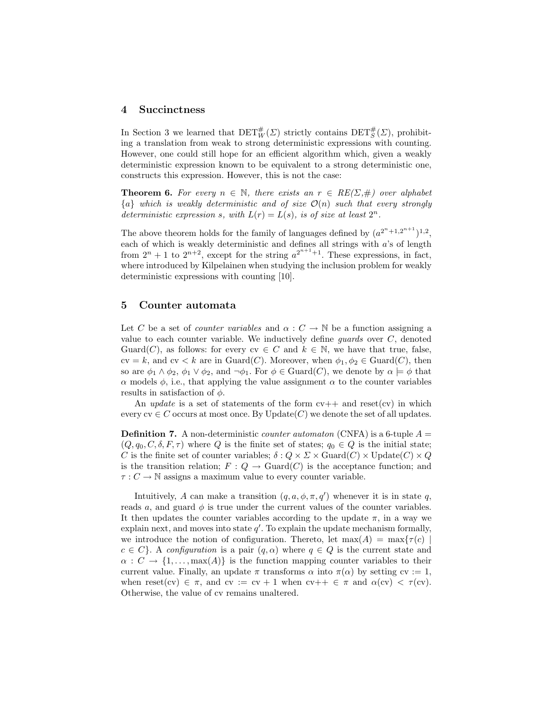#### 4 Succinctness

In Section 3 we learned that  $\text{DET}^{\#}_{W}(\Sigma)$  strictly contains  $\text{DET}^{\#}_{S}(\Sigma)$ , prohibiting a translation from weak to strong deterministic expressions with counting. However, one could still hope for an efficient algorithm which, given a weakly deterministic expression known to be equivalent to a strong deterministic one, constructs this expression. However, this is not the case:

**Theorem 6.** For every  $n \in \mathbb{N}$ , there exists an  $r \in RE(\Sigma, \#)$  over alphabet  ${a}$  which is weakly deterministic and of size  $\mathcal{O}(n)$  such that every strongly deterministic expression s, with  $L(r) = L(s)$ , is of size at least  $2^n$ .

The above theorem holds for the family of languages defined by  $(a^{2^n+1,2^{n+1}})^{1,2}$ , each of which is weakly deterministic and defines all strings with  $a$ 's of length from  $2^n + 1$  to  $2^{n+2}$ , except for the string  $a^{2^{n+1}+1}$ . These expressions, in fact, where introduced by Kilpelainen when studying the inclusion problem for weakly deterministic expressions with counting [10].

## 5 Counter automata

Let C be a set of *counter variables* and  $\alpha : C \to \mathbb{N}$  be a function assigning a value to each counter variable. We inductively define *guards* over  $C$ , denoted Guard(C), as follows: for every  $cv \in C$  and  $k \in \mathbb{N}$ , we have that true, false,  $cv = k$ , and  $cv < k$  are in Guard(C). Moreover, when  $\phi_1, \phi_2 \in \text{Guard}(C)$ , then so are  $\phi_1 \wedge \phi_2$ ,  $\phi_1 \vee \phi_2$ , and  $\neg \phi_1$ . For  $\phi \in \text{Guard}(C)$ , we denote by  $\alpha \models \phi$  that  $\alpha$  models  $\phi$ , i.e., that applying the value assignment  $\alpha$  to the counter variables results in satisfaction of  $\phi$ .

An update is a set of statements of the form  $cy++$  and reset(cv) in which every  $cv \in C$  occurs at most once. By Update(C) we denote the set of all updates.

**Definition 7.** A non-deterministic *counter automaton* (CNFA) is a 6-tuple  $A =$  $(Q, q_0, C, \delta, F, \tau)$  where Q is the finite set of states;  $q_0 \in Q$  is the initial state; C is the finite set of counter variables;  $\delta: Q \times \Sigma \times \text{Guard}(C) \times \text{Update}(C) \times Q$ is the transition relation;  $F: Q \to \text{Guard}(C)$  is the acceptance function; and  $\tau : C \to \mathbb{N}$  assigns a maximum value to every counter variable.

Intuitively, A can make a transition  $(q, a, \phi, \pi, q')$  whenever it is in state q, reads a, and guard  $\phi$  is true under the current values of the counter variables. It then updates the counter variables according to the update  $\pi$ , in a way we explain next, and moves into state  $q'$ . To explain the update mechanism formally, we introduce the notion of configuration. Thereto, let  $\max(A) = \max\{\tau(c) \mid$  $c \in C$ . A configuration is a pair  $(q, \alpha)$  where  $q \in Q$  is the current state and  $\alpha: C \to \{1, \ldots, \max(A)\}\$ is the function mapping counter variables to their current value. Finally, an update  $\pi$  transforms  $\alpha$  into  $\pi(\alpha)$  by setting cv := 1, when reset(cv)  $\in \pi$ , and cv := cv + 1 when cv++  $\in \pi$  and  $\alpha$ (cv)  $< \tau$ (cv). Otherwise, the value of cv remains unaltered.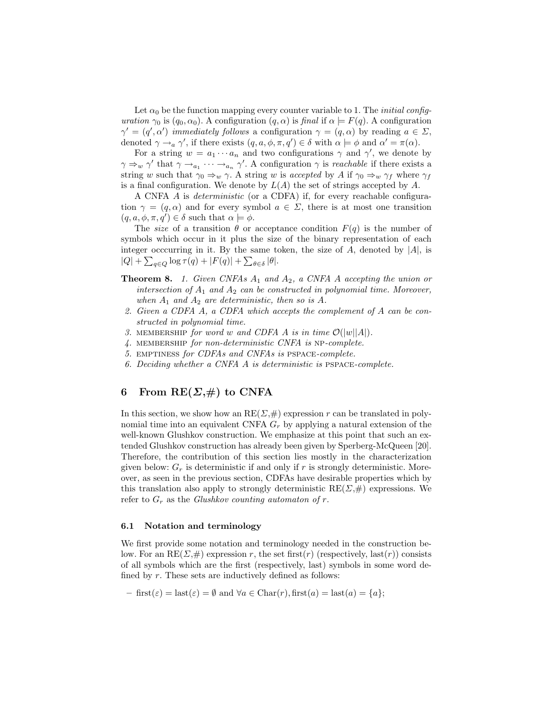Let  $\alpha_0$  be the function mapping every counter variable to 1. The *initial config*uration  $\gamma_0$  is  $(q_0, \alpha_0)$ . A configuration  $(q, \alpha)$  is final if  $\alpha \models F(q)$ . A configuration  $\gamma' = (q', \alpha')$  *immediately follows* a configuration  $\gamma = (q, \alpha)$  by reading  $a \in \Sigma$ , denoted  $\gamma \rightarrow_a \gamma'$ , if there exists  $(q, a, \phi, \pi, q') \in \delta$  with  $\alpha \models \phi$  and  $\alpha' = \pi(\alpha)$ .

For a string  $w = a_1 \cdots a_n$  and two configurations  $\gamma$  and  $\gamma'$ , we denote by  $\gamma \Rightarrow_w \gamma'$  that  $\gamma \rightarrow_{a_1} \cdots \rightarrow_{a_n} \gamma'$ . A configuration  $\gamma$  is *reachable* if there exists a string w such that  $\gamma_0 \Rightarrow_w \gamma$ . A string w is accepted by A if  $\gamma_0 \Rightarrow_w \gamma_f$  where  $\gamma_f$ is a final configuration. We denote by  $L(A)$  the set of strings accepted by A.

A CNFA A is deterministic (or a CDFA) if, for every reachable configuration  $\gamma = (q, \alpha)$  and for every symbol  $a \in \Sigma$ , there is at most one transition  $(q, a, \phi, \pi, q') \in \delta$  such that  $\alpha \models \phi$ .

The size of a transition  $\theta$  or acceptance condition  $F(q)$  is the number of symbols which occur in it plus the size of the binary representation of each integer occcurring in it. By the same token, the size of  $A$ , denoted by  $|A|$ , is  $|Q| + \sum_{q \in Q} \log \tau(q) + |F(q)| + \sum_{\theta \in \delta} |\theta|.$ 

- **Theorem 8.** 1. Given CNFAs  $A_1$  and  $A_2$ , a CNFA A accepting the union or intersection of  $A_1$  and  $A_2$  can be constructed in polynomial time. Moreover, when  $A_1$  and  $A_2$  are deterministic, then so is A.
- 2. Given a CDFA A, a CDFA which accepts the complement of A can be constructed in polynomial time.
- 3. MEMBERSHIP for word w and CDFA A is in time  $\mathcal{O}(|w||A|)$ .
- 4. membership for non-deterministic CNFA is np-complete.
- 5. emptiness for CDFAs and CNFAs is pspace-complete.
- 6. Deciding whether a CNFA A is deterministic is pspace-complete.

## 6 From  $RE(\Sigma, \#)$  to CNFA

In this section, we show how an  $RE(\Sigma, \#)$  expression r can be translated in polynomial time into an equivalent CNFA  $G_r$  by applying a natural extension of the well-known Glushkov construction. We emphasize at this point that such an extended Glushkov construction has already been given by Sperberg-McQueen [20]. Therefore, the contribution of this section lies mostly in the characterization given below:  $G_r$  is deterministic if and only if r is strongly deterministic. Moreover, as seen in the previous section, CDFAs have desirable properties which by this translation also apply to strongly deterministic  $RE(\Sigma, \#)$  expressions. We refer to  $G_r$  as the Glushkov counting automaton of r.

#### 6.1 Notation and terminology

We first provide some notation and terminology needed in the construction below. For an RE( $\Sigma$ ,#) expression r, the set first(r) (respectively, last(r)) consists of all symbols which are the first (respectively, last) symbols in some word defined by r. These sets are inductively defined as follows:

 $-$  first( $\varepsilon$ ) = last( $\varepsilon$ ) =  $\emptyset$  and  $\forall a \in \text{Char}(r)$ , first( $a$ ) = last( $a$ ) = { $a$ };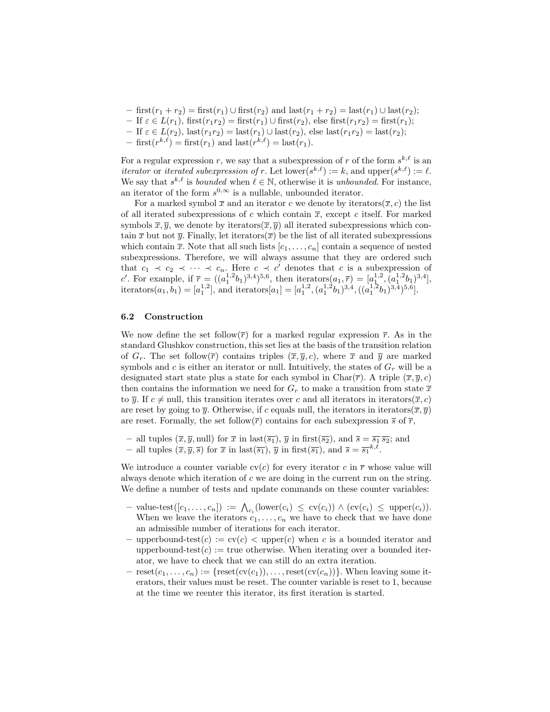- first( $r_1 + r_2$ ) = first( $r_1$ ) ∪ first( $r_2$ ) and last( $r_1 + r_2$ ) = last( $r_1$ ) ∪ last( $r_2$ );
- If  $\varepsilon \in L(r_1)$ , first $(r_1r_2)$  = first $(r_1) \cup$  first $(r_2)$ , else first $(r_1r_2)$  = first $(r_1)$ ;
- If  $\varepsilon \in L(r_2)$ ,  $\text{last}(r_1r_2) = \text{last}(r_1) \cup \text{last}(r_2)$ , else  $\text{last}(r_1r_2) = \text{last}(r_2)$ ;
- first $(r^k)$  = first $(r_1)$  and last $(r^k)$  = last $(r_1)$ .

For a regular expression r, we say that a subexpression of r of the form  $s^{k,\ell}$  is an iterator or iterated subexpression of r. Let  $\text{lower}(s^{k,\ell}) := k$ , and  $\text{upper}(s^{k,\ell}) := \ell$ . We say that  $s^{k,\ell}$  is *bounded* when  $\ell \in \mathbb{N}$ , otherwise it is *unbounded*. For instance, an iterator of the form  $s^{0,\infty}$  is a nullable, unbounded iterator.

For a marked symbol  $\bar{x}$  and an iterator c we denote by iterators( $\bar{x}, c$ ) the list of all iterated subexpressions of c which contain  $\bar{x}$ , except c itself. For marked symbols  $\overline{x}, \overline{y}$ , we denote by iterators $(\overline{x}, \overline{y})$  all iterated subexpressions which contain  $\bar{x}$  but not  $\bar{y}$ . Finally, let iterators( $\bar{x}$ ) be the list of all iterated subexpressions which contain  $\bar{x}$ . Note that all such lists  $[c_1, \ldots, c_n]$  contain a sequence of nested subexpressions. Therefore, we will always assume that they are ordered such that  $c_1 \prec c_2 \prec \cdots \prec c_n$ . Here  $c \prec c'$  denotes that c is a subexpression of c'. For example, if  $\bar{r} = ((a_1^{1,2}b_1)^{3,4})^{5,6}$ , then iterators $(a_1, \bar{r}) = [a_1^{1,2}, (a_1^{1,2}b_1)^{3,4}],$ iterators $(a_1, b_1) = [a_1^{1,2}],$  and iterators $[a_1] = [a_1^{1,2}, (a_1^{1,2}b_1)^{3,4}, ((a_1^{1,2}b_1)^{3,4})^{5,6}].$ 

#### 6.2 Construction

We now define the set follow( $\overline{r}$ ) for a marked regular expression  $\overline{r}$ . As in the standard Glushkov construction, this set lies at the basis of the transition relation of  $G_r$ . The set follow $(\overline{r})$  contains triples  $(\overline{x}, \overline{y}, c)$ , where  $\overline{x}$  and  $\overline{y}$  are marked symbols and c is either an iterator or null. Intuitively, the states of  $G_r$  will be a designated start state plus a state for each symbol in Char( $\overline{r}$ ). A triple  $(\overline{x}, \overline{y}, c)$ then contains the information we need for  $G_r$  to make a transition from state  $\bar{x}$ to  $\overline{y}$ . If  $c \neq$  null, this transition iterates over c and all iterators in iterators( $\overline{x}, c$ ) are reset by going to  $\bar{y}$ . Otherwise, if c equals null, the iterators in iterators( $\bar{x}, \bar{y}$ ) are reset. Formally, the set follow $(\bar{r})$  contains for each subexpression  $\bar{s}$  of  $\bar{r}$ ,

- all tuples  $(\overline{x}, \overline{y}, \text{null})$  for  $\overline{x}$  in  $\text{last}(\overline{s_1}), \overline{y}$  in first $(\overline{s_2}),$  and  $\overline{s} = \overline{s_1} \overline{s_2}$ ; and
- all tuples  $(\overline{x}, \overline{y}, \overline{s})$  for  $\overline{x}$  in last $(\overline{s_1})$ ,  $\overline{y}$  in first $(\overline{s_1})$ , and  $\overline{s} = \overline{s_1}^{k,\ell}$ .

We introduce a counter variable  $\operatorname{cv}(c)$  for every iterator c in  $\overline{r}$  whose value will always denote which iteration of  $c$  we are doing in the current run on the string. We define a number of tests and update commands on these counter variables:

- $\vdash$  value-test([c<sub>1</sub>, ..., c<sub>n</sub>]) :=  $\bigwedge_{c_i}$ (lower(c<sub>i</sub>) ≤ cv(c<sub>i</sub>)) ∧ (cv(c<sub>i</sub>) ≤ upper(c<sub>i</sub>)). When we leave the iterators  $c_1, \ldots, c_n$  we have to check that we have done an admissible number of iterations for each iterator.
- upperbound-test(c) :=  $\text{cv}(c)$  < upper(c) when c is a bounded iterator and upperbound-test $(c) :=$  true otherwise. When iterating over a bounded iterator, we have to check that we can still do an extra iteration.
- $\text{reset}(c_1, \ldots, c_n) := \{ \text{reset}(cv(c_1)), \ldots, \text{reset}(cv(c_n)) \}.$  When leaving some iterators, their values must be reset. The counter variable is reset to 1, because at the time we reenter this iterator, its first iteration is started.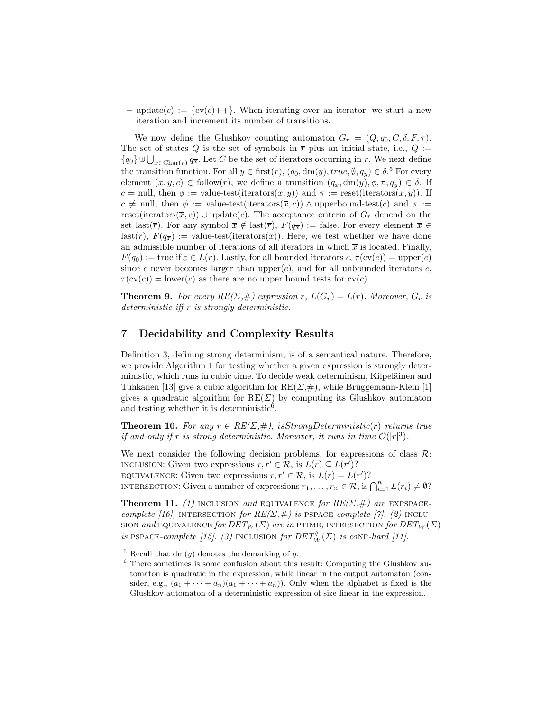– update $(c) := \{ cv(c) \}$ . When iterating over an iterator, we start a new iteration and increment its number of transitions.

We now define the Glushkov counting automaton  $G_r = (Q, q_0, C, \delta, F, \tau)$ . The set of states Q is the set of symbols in  $\overline{r}$  plus an initial state, i.e., Q :=  ${q_0}\}\biguplus_{\overline{x}\in \text{Char}(\overline{r})} q_{\overline{x}}.$  Let C be the set of iterators occurring in  $\overline{r}$ . We next define the transition function. For all  $\overline{y} \in \text{first}(\overline{r})$ ,  $(q_0, dm(\overline{y}), true, \emptyset, q_{\overline{y}}) \in \delta$ .<sup>5</sup> For every element  $(\bar{x}, \bar{y}, c) \in \text{follow}(\bar{r})$ , we define a transition  $(q_{\bar{x}}, dm(\bar{y}), \phi, \pi, q_{\bar{y}}) \in \delta$ . If c = null, then  $\phi := \text{value-test}( \text{iterations}(\overline{x}, \overline{y}))$  and  $\pi := \text{reset}( \text{iterations}(\overline{x}, \overline{y}))$ . If  $c \neq$  null, then  $\phi :=$  value-test(iterators( $\overline{x}, c$ ))  $\land$  upperbound-test(c) and  $\pi :=$ reset(iterators( $\overline{x}, c$ )) ∪ update(c). The acceptance criteria of  $G_r$  depend on the set last( $\overline{r}$ ). For any symbol  $\overline{x} \notin \text{last}(\overline{r})$ ,  $F(q_{\overline{x}}) := \text{false}$ . For every element  $\overline{x} \in$ last( $\overline{r}$ ),  $F(q_{\overline{x}}) :=$  value-test(iterators( $\overline{x}$ )). Here, we test whether we have done an admissible number of iterations of all iterators in which  $\bar{x}$  is located. Finally,  $F(q_0) :=$  true if  $\varepsilon \in L(r)$ . Lastly, for all bounded iterators  $c, \tau(\text{cv}(c)) = \text{upper}(c)$ since c never becomes larger than upper $(c)$ , and for all unbounded iterators c,  $\tau(\text{cv}(c)) = \text{lower}(c)$  as there are no upper bound tests for  $\text{cv}(c)$ .

**Theorem 9.** For every  $RE(\Sigma, \#)$  expression r,  $L(G_r) = L(r)$ . Moreover,  $G_r$  is deterministic iff r is strongly deterministic.

## 7 Decidability and Complexity Results

Definition 3, defining strong determinism, is of a semantical nature. Therefore, we provide Algorithm 1 for testing whether a given expression is strongly deterministic, which runs in cubic time. To decide weak determinism, Kilpeläinen and Tuhkanen [13] give a cubic algorithm for  $RE(\Sigma, \#)$ , while Brüggemann-Klein [1] gives a quadratic algorithm for  $RE(\Sigma)$  by computing its Glushkov automaton and testing whether it is deterministic<sup>6</sup>.

**Theorem 10.** For any  $r \in RE(\Sigma, \#)$ , isStrongDeterministic(r) returns true if and only if r is strong deterministic. Moreover, it runs in time  $\mathcal{O}(|r|^3)$ .

We next consider the following decision problems, for expressions of class  $\mathcal{R}$ : INCLUSION: Given two expressions  $r, r' \in \mathcal{R}$ , is  $L(r) \subseteq L(r')$ ? EQUIVALENCE: Given two expressions  $r, r' \in \mathcal{R}$ , is  $L(r) = L(r')$ ? INTERSECTION: Given a number of expressions  $r_1, \ldots, r_n \in \mathcal{R}$ , is  $\bigcap_{i=1}^n L(r_i) \neq \emptyset$ ?

**Theorem 11.** (1) INCLUSION and EQUIVALENCE for  $RE(\Sigma, \#)$  are EXPSPACEcomplete [16], INTERSECTION for  $RE(\Sigma, \#)$  is PSPACE-complete [7]. (2) INCLU-SION and EQUIVALENCE for  $DET_W(\Sigma)$  are in PTIME, INTERSECTION for  $DET_W(\Sigma)$ is PSPACE-complete [15]. (3) INCLUSION for  $DET_W^{\#}(\Sigma)$  is conp-hard [11].

<sup>&</sup>lt;sup>5</sup> Recall that dm( $\overline{y}$ ) denotes the demarking of  $\overline{y}$ .

 $6$  There sometimes is some confusion about this result: Computing the Glushkov automaton is quadratic in the expression, while linear in the output automaton (consider, e.g.,  $(a_1 + \cdots + a_n)(a_1 + \cdots + a_n)$ . Only when the alphabet is fixed is the Glushkov automaton of a deterministic expression of size linear in the expression.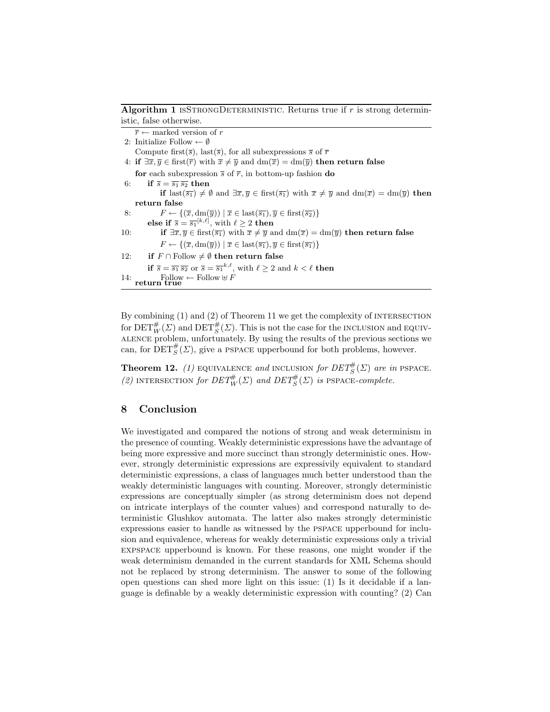Algorithm 1 ISSTRONGDETERMINISTIC. Returns true if  $r$  is strong deterministic, false otherwise.

```
\overline{r} \leftarrow marked version of r
  2: Initialize Follow \leftarrow \emptysetCompute first(\overline{s}), last(\overline{s}), for all subexpressions \overline{s} of \overline{r}4: if \exists \overline{x}, \overline{y} \in \text{first}(\overline{r}) with \overline{x} \neq \overline{y} and dm(\overline{x}) = dm(\overline{y}) then return false
        for each subexpression \bar{s} of \bar{r}, in bottom-up fashion do
  6: if \overline{s} = \overline{s_1} \overline{s_2} then
                       if last(\overline{s_1}) \neq \emptyset and \exists \overline{x}, \overline{y} \in \text{first}(\overline{s_1}) with \overline{x} \neq \overline{y} and \text{dm}(\overline{x}) = \text{dm}(\overline{y}) then
        return false
  8: F \leftarrow \{(\overline{x}, \text{dm}(\overline{y})) \mid \overline{x} \in \text{last}(\overline{s_1}), \overline{y} \in \text{first}(\overline{s_2})\}else if \overline{s} = \overline{s_1}^{[k,\ell]}, with \ell \geq 2 then
10: if \exists \overline{x}, \overline{y} \in \text{first}(\overline{s_1}) with \overline{x} \neq \overline{y} and \text{dm}(\overline{x}) = \text{dm}(\overline{y}) then return false
                       F \leftarrow \{(\overline{x}, \text{dm}(\overline{y})) \mid \overline{x} \in \text{last}(\overline{s_1}), \overline{y} \in \text{first}(\overline{s_1})\}12: if F \cap Follow \neq \emptyset then return false
                if \overline{s} = \overline{s_1} \, \overline{s_2} or \overline{s} = \overline{s_1}^{k,\ell}, with \ell \geq 2 and k < \ell then
14: \text{Follow} \leftarrow \text{Follow} \oplus F
```
By combining  $(1)$  and  $(2)$  of Theorem 11 we get the complexity of INTERSECTION for  $\mathrm{DET}^\#_W(\varSigma)$  and  $\mathrm{DET}^\#_S(\varSigma).$  This is not the case for the INCLUSION and EQUIValence problem, unfortunately. By using the results of the previous sections we can, for  $\text{DET}^{\#}_{S}(\Sigma)$ , give a PSPACE upperbound for both problems, however.

**Theorem 12.** (1) EQUIVALENCE and INCLUSION for  $DET^{\#}_{S}(\Sigma)$  are in PSPACE. (2) INTERSECTION for  $DET^{\#}_W(\Sigma)$  and  $DET^{\#}_S(\Sigma)$  is PSPACE-complete.

## 8 Conclusion

We investigated and compared the notions of strong and weak determinism in the presence of counting. Weakly deterministic expressions have the advantage of being more expressive and more succinct than strongly deterministic ones. However, strongly deterministic expressions are expressivily equivalent to standard deterministic expressions, a class of languages much better understood than the weakly deterministic languages with counting. Moreover, strongly deterministic expressions are conceptually simpler (as strong determinism does not depend on intricate interplays of the counter values) and correspond naturally to deterministic Glushkov automata. The latter also makes strongly deterministic expressions easier to handle as witnessed by the pspace upperbound for inclusion and equivalence, whereas for weakly deterministic expressions only a trivial expspace upperbound is known. For these reasons, one might wonder if the weak determinism demanded in the current standards for XML Schema should not be replaced by strong determinism. The answer to some of the following open questions can shed more light on this issue: (1) Is it decidable if a language is definable by a weakly deterministic expression with counting? (2) Can